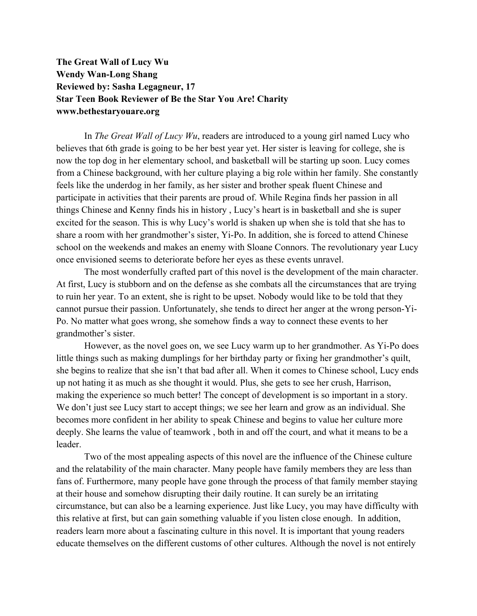**The Great Wall of Lucy Wu Wendy Wan-Long Shang Reviewed by: Sasha Legagneur, 17 Star Teen Book Reviewer of Be the Star You Are! Charity www.bethestaryouare.org**

In *The Great Wall of Lucy Wu*, readers are introduced to a young girl named Lucy who believes that 6th grade is going to be her best year yet. Her sister is leaving for college, she is now the top dog in her elementary school, and basketball will be starting up soon. Lucy comes from a Chinese background, with her culture playing a big role within her family. She constantly feels like the underdog in her family, as her sister and brother speak fluent Chinese and participate in activities that their parents are proud of. While Regina finds her passion in all things Chinese and Kenny finds his in history , Lucy's heart is in basketball and she is super excited for the season. This is why Lucy's world is shaken up when she is told that she has to share a room with her grandmother's sister, Yi-Po. In addition, she is forced to attend Chinese school on the weekends and makes an enemy with Sloane Connors. The revolutionary year Lucy once envisioned seems to deteriorate before her eyes as these events unravel.

The most wonderfully crafted part of this novel is the development of the main character. At first, Lucy is stubborn and on the defense as she combats all the circumstances that are trying to ruin her year. To an extent, she is right to be upset. Nobody would like to be told that they cannot pursue their passion. Unfortunately, she tends to direct her anger at the wrong person-Yi-Po. No matter what goes wrong, she somehow finds a way to connect these events to her grandmother's sister.

However, as the novel goes on, we see Lucy warm up to her grandmother. As Yi-Po does little things such as making dumplings for her birthday party or fixing her grandmother's quilt, she begins to realize that she isn't that bad after all. When it comes to Chinese school, Lucy ends up not hating it as much as she thought it would. Plus, she gets to see her crush, Harrison, making the experience so much better! The concept of development is so important in a story. We don't just see Lucy start to accept things; we see her learn and grow as an individual. She becomes more confident in her ability to speak Chinese and begins to value her culture more deeply. She learns the value of teamwork , both in and off the court, and what it means to be a leader.

Two of the most appealing aspects of this novel are the influence of the Chinese culture and the relatability of the main character. Many people have family members they are less than fans of. Furthermore, many people have gone through the process of that family member staying at their house and somehow disrupting their daily routine. It can surely be an irritating circumstance, but can also be a learning experience. Just like Lucy, you may have difficulty with this relative at first, but can gain something valuable if you listen close enough. In addition, readers learn more about a fascinating culture in this novel. It is important that young readers educate themselves on the different customs of other cultures. Although the novel is not entirely